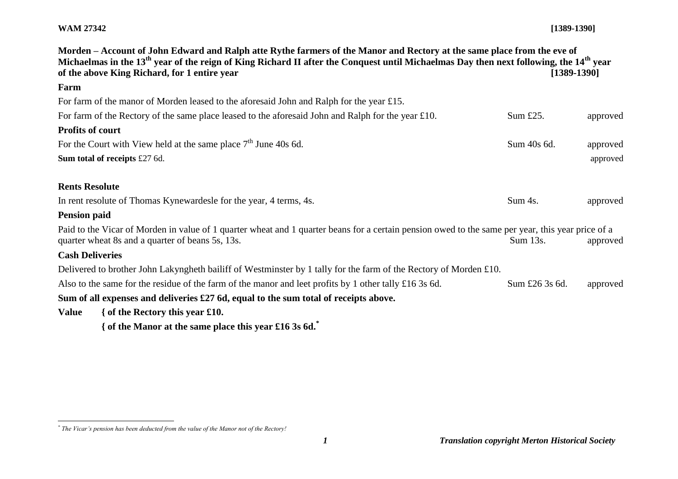## **WAM 27342 [1389-1390]**

| Morden – Account of John Edward and Ralph atte Rythe farmers of the Manor and Rectory at the same place from the eve of<br>Michaelmas in the 13 <sup>th</sup> year of the reign of King Richard II after the Conquest until Michaelmas Day then next following, the 14 <sup>th</sup> year<br>of the above King Richard, for 1 entire year<br>$[1389-1390]$ |  |                |          |  |
|------------------------------------------------------------------------------------------------------------------------------------------------------------------------------------------------------------------------------------------------------------------------------------------------------------------------------------------------------------|--|----------------|----------|--|
| Farm                                                                                                                                                                                                                                                                                                                                                       |  |                |          |  |
| For farm of the manor of Morden leased to the aforesaid John and Ralph for the year £15.                                                                                                                                                                                                                                                                   |  |                |          |  |
| For farm of the Rectory of the same place leased to the aforesaid John and Ralph for the year £10.                                                                                                                                                                                                                                                         |  | Sum $£25$ .    | approved |  |
| <b>Profits of court</b>                                                                                                                                                                                                                                                                                                                                    |  |                |          |  |
| For the Court with View held at the same place $7th$ June 40s 6d.                                                                                                                                                                                                                                                                                          |  | Sum 40s 6d.    | approved |  |
| Sum total of receipts £27 6d.                                                                                                                                                                                                                                                                                                                              |  |                | approved |  |
| <b>Rents Resolute</b>                                                                                                                                                                                                                                                                                                                                      |  |                |          |  |
| In rent resolute of Thomas Kynewardesle for the year, 4 terms, 4s.                                                                                                                                                                                                                                                                                         |  | Sum 4s.        | approved |  |
| <b>Pension paid</b>                                                                                                                                                                                                                                                                                                                                        |  |                |          |  |
| Paid to the Vicar of Morden in value of 1 quarter wheat and 1 quarter beans for a certain pension owed to the same per year, this year price of a<br>quarter wheat 8s and a quarter of beans 5s, 13s.                                                                                                                                                      |  | Sum 13s.       | approved |  |
| <b>Cash Deliveries</b>                                                                                                                                                                                                                                                                                                                                     |  |                |          |  |
| Delivered to brother John Lakyngheth bailiff of Westminster by 1 tally for the farm of the Rectory of Morden £10.                                                                                                                                                                                                                                          |  |                |          |  |
| Also to the same for the residue of the farm of the manor and leet profits by 1 other tally £16 3s 6d.                                                                                                                                                                                                                                                     |  | Sum £26 3s 6d. | approved |  |
| Sum of all expenses and deliveries £27 6d, equal to the sum total of receipts above.                                                                                                                                                                                                                                                                       |  |                |          |  |
| { of the Rectory this year $£10$ .<br>Value                                                                                                                                                                                                                                                                                                                |  |                |          |  |
| { of the Manor at the same place this year £16 3s 6d.                                                                                                                                                                                                                                                                                                      |  |                |          |  |

 *\* The Vicar's pension has been deducted from the value of the Manor not of the Rectory!*